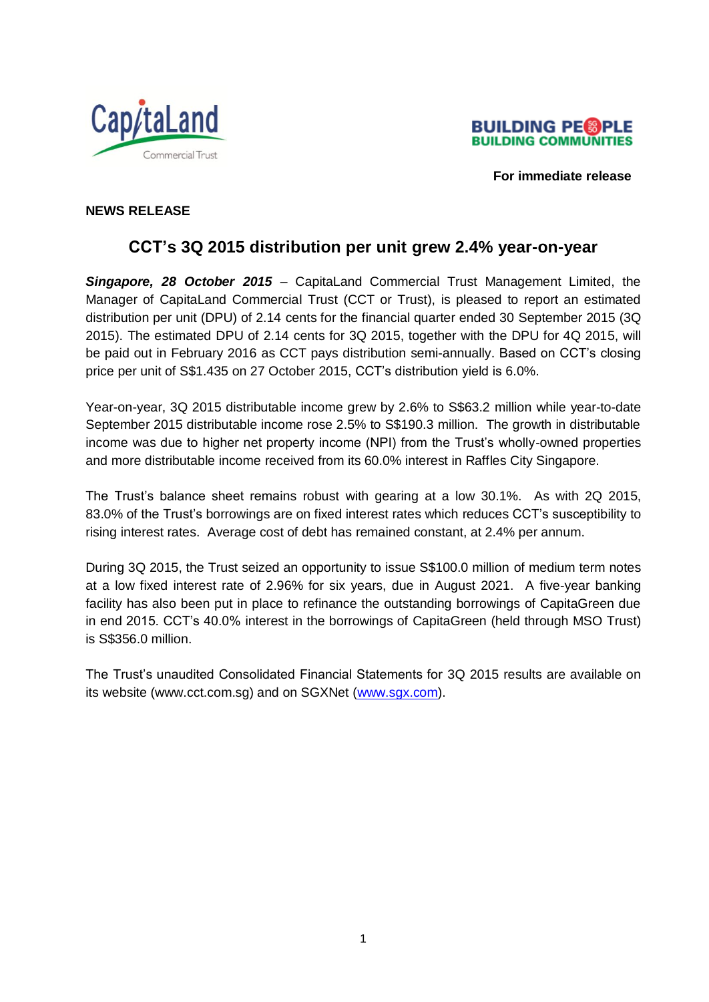



 **For immediate release**

# **NEWS RELEASE**

# **CCT's 3Q 2015 distribution per unit grew 2.4% year-on-year**

*Singapore, 28 October 2015* – CapitaLand Commercial Trust Management Limited, the Manager of CapitaLand Commercial Trust (CCT or Trust), is pleased to report an estimated distribution per unit (DPU) of 2.14 cents for the financial quarter ended 30 September 2015 (3Q 2015). The estimated DPU of 2.14 cents for 3Q 2015, together with the DPU for 4Q 2015, will be paid out in February 2016 as CCT pays distribution semi-annually. Based on CCT's closing price per unit of S\$1.435 on 27 October 2015, CCT's distribution yield is 6.0%.

Year-on-year, 3Q 2015 distributable income grew by 2.6% to S\$63.2 million while year-to-date September 2015 distributable income rose 2.5% to S\$190.3 million. The growth in distributable income was due to higher net property income (NPI) from the Trust's wholly-owned properties and more distributable income received from its 60.0% interest in Raffles City Singapore.

The Trust's balance sheet remains robust with gearing at a low 30.1%. As with 2Q 2015, 83.0% of the Trust's borrowings are on fixed interest rates which reduces CCT's susceptibility to rising interest rates. Average cost of debt has remained constant, at 2.4% per annum.

During 3Q 2015, the Trust seized an opportunity to issue S\$100.0 million of medium term notes at a low fixed interest rate of 2.96% for six years, due in August 2021. A five-year banking facility has also been put in place to refinance the outstanding borrowings of CapitaGreen due in end 2015. CCT's 40.0% interest in the borrowings of CapitaGreen (held through MSO Trust) is S\$356.0 million.

The Trust's unaudited Consolidated Financial Statements for 3Q 2015 results are available on its website (www.cct.com.sg) and on SGXNet [\(www.sgx.com\)](http://www.sgx.com/).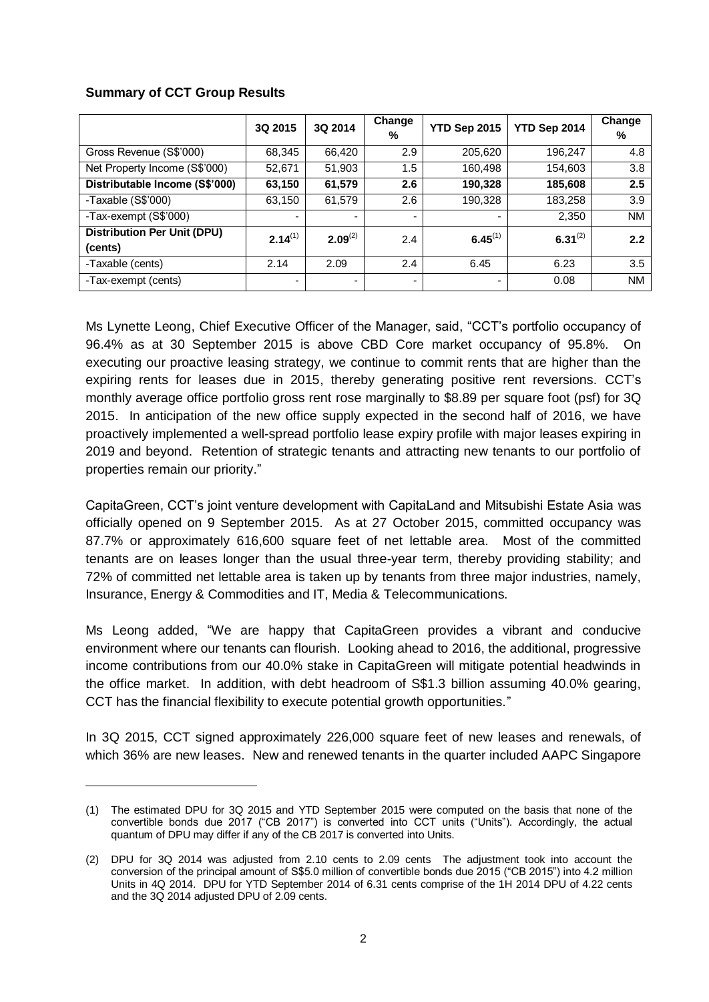# **Summary of CCT Group Results**

-

|                                               | 3Q 2015      | 3Q 2014                  | Change<br>% | YTD Sep 2015 | YTD Sep 2014 | Change<br>% |
|-----------------------------------------------|--------------|--------------------------|-------------|--------------|--------------|-------------|
| Gross Revenue (S\$'000)                       | 68,345       | 66,420                   | 2.9         | 205,620      | 196,247      | 4.8         |
| Net Property Income (S\$'000)                 | 52,671       | 51,903                   | 1.5         | 160,498      | 154,603      | 3.8         |
| Distributable Income (S\$'000)                | 63,150       | 61,579                   | 2.6         | 190,328      | 185,608      | 2.5         |
| -Taxable (S\$'000)                            | 63,150       | 61,579                   | 2.6         | 190,328      | 183,258      | 3.9         |
| -Tax-exempt (S\$'000)                         |              | $\overline{\phantom{0}}$ |             |              | 2,350        | <b>NM</b>   |
| <b>Distribution Per Unit (DPU)</b><br>(cents) | $2.14^{(1)}$ | $2.09^{(2)}$             | 2.4         | $6.45^{(1)}$ | $6.31^{(2)}$ | 2.2         |
| -Taxable (cents)                              | 2.14         | 2.09                     | 2.4         | 6.45         | 6.23         | 3.5         |
| -Tax-exempt (cents)                           |              | ٠                        |             |              | 0.08         | <b>NM</b>   |

Ms Lynette Leong, Chief Executive Officer of the Manager, said, "CCT's portfolio occupancy of 96.4% as at 30 September 2015 is above CBD Core market occupancy of 95.8%. On executing our proactive leasing strategy, we continue to commit rents that are higher than the expiring rents for leases due in 2015, thereby generating positive rent reversions. CCT's monthly average office portfolio gross rent rose marginally to \$8.89 per square foot (psf) for 3Q 2015. In anticipation of the new office supply expected in the second half of 2016, we have proactively implemented a well-spread portfolio lease expiry profile with major leases expiring in 2019 and beyond. Retention of strategic tenants and attracting new tenants to our portfolio of properties remain our priority."

CapitaGreen, CCT's joint venture development with CapitaLand and Mitsubishi Estate Asia was officially opened on 9 September 2015. As at 27 October 2015, committed occupancy was 87.7% or approximately 616,600 square feet of net lettable area. Most of the committed tenants are on leases longer than the usual three-year term, thereby providing stability; and 72% of committed net lettable area is taken up by tenants from three major industries, namely, Insurance, Energy & Commodities and IT, Media & Telecommunications.

Ms Leong added, "We are happy that CapitaGreen provides a vibrant and conducive environment where our tenants can flourish. Looking ahead to 2016, the additional, progressive income contributions from our 40.0% stake in CapitaGreen will mitigate potential headwinds in the office market. In addition, with debt headroom of S\$1.3 billion assuming 40.0% gearing, CCT has the financial flexibility to execute potential growth opportunities."

In 3Q 2015, CCT signed approximately 226,000 square feet of new leases and renewals, of which 36% are new leases. New and renewed tenants in the quarter included AAPC Singapore

<sup>(1)</sup> The estimated DPU for 3Q 2015 and YTD September 2015 were computed on the basis that none of the convertible bonds due 2017 ("CB 2017") is converted into CCT units ("Units"). Accordingly, the actual quantum of DPU may differ if any of the CB 2017 is converted into Units.

<sup>(2)</sup> DPU for 3Q 2014 was adjusted from 2.10 cents to 2.09 cents The adjustment took into account the conversion of the principal amount of S\$5.0 million of convertible bonds due 2015 ("CB 2015") into 4.2 million Units in 4Q 2014. DPU for YTD September 2014 of 6.31 cents comprise of the 1H 2014 DPU of 4.22 cents and the 3Q 2014 adjusted DPU of 2.09 cents.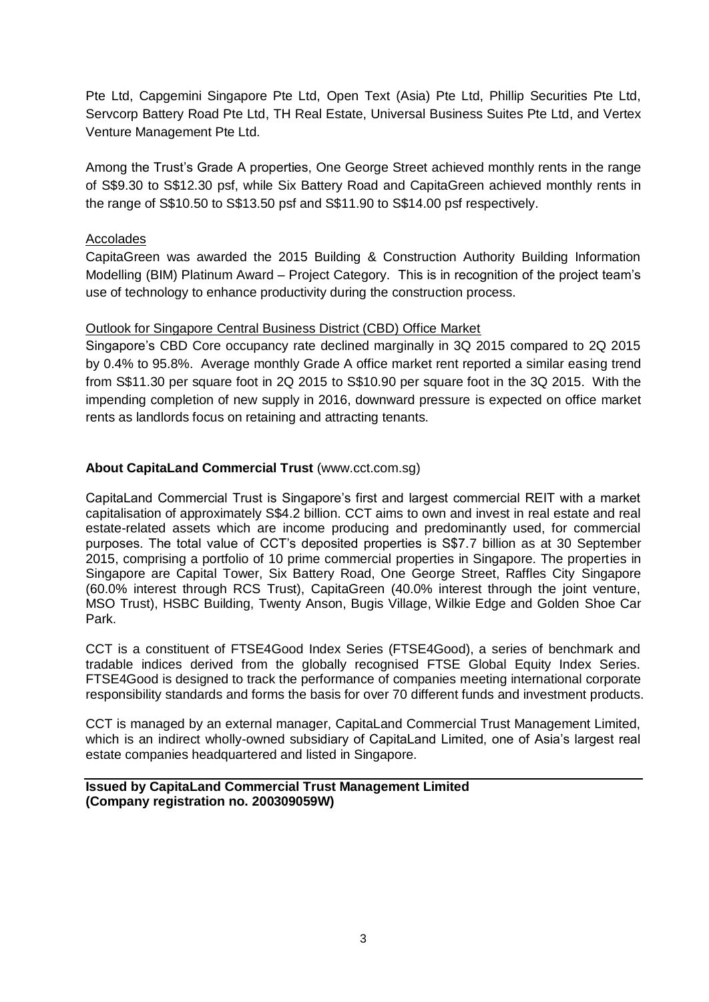Pte Ltd, Capgemini Singapore Pte Ltd, Open Text (Asia) Pte Ltd, Phillip Securities Pte Ltd, Servcorp Battery Road Pte Ltd, TH Real Estate, Universal Business Suites Pte Ltd, and Vertex Venture Management Pte Ltd.

Among the Trust's Grade A properties, One George Street achieved monthly rents in the range of S\$9.30 to S\$12.30 psf, while Six Battery Road and CapitaGreen achieved monthly rents in the range of S\$10.50 to S\$13.50 psf and S\$11.90 to S\$14.00 psf respectively.

### Accolades

CapitaGreen was awarded the 2015 Building & Construction Authority Building Information Modelling (BIM) Platinum Award – Project Category. This is in recognition of the project team's use of technology to enhance productivity during the construction process.

### Outlook for Singapore Central Business District (CBD) Office Market

Singapore's CBD Core occupancy rate declined marginally in 3Q 2015 compared to 2Q 2015 by 0.4% to 95.8%. Average monthly Grade A office market rent reported a similar easing trend from S\$11.30 per square foot in 2Q 2015 to S\$10.90 per square foot in the 3Q 2015. With the impending completion of new supply in 2016, downward pressure is expected on office market rents as landlords focus on retaining and attracting tenants.

# **About CapitaLand Commercial Trust** (www.cct.com.sg)

CapitaLand Commercial Trust is Singapore's first and largest commercial REIT with a market capitalisation of approximately S\$4.2 billion. CCT aims to own and invest in real estate and real estate-related assets which are income producing and predominantly used, for commercial purposes. The total value of CCT's deposited properties is S\$7.7 billion as at 30 September 2015, comprising a portfolio of 10 prime commercial properties in Singapore. The properties in Singapore are Capital Tower, Six Battery Road, One George Street, Raffles City Singapore (60.0% interest through RCS Trust), CapitaGreen (40.0% interest through the joint venture, MSO Trust), HSBC Building, Twenty Anson, Bugis Village, Wilkie Edge and Golden Shoe Car Park.

CCT is a constituent of FTSE4Good Index Series (FTSE4Good), a series of benchmark and tradable indices derived from the globally recognised FTSE Global Equity Index Series. FTSE4Good is designed to track the performance of companies meeting international corporate responsibility standards and forms the basis for over 70 different funds and investment products.

CCT is managed by an external manager, CapitaLand Commercial Trust Management Limited, which is an indirect wholly-owned subsidiary of CapitaLand Limited, one of Asia's largest real estate companies headquartered and listed in Singapore.

### **Issued by CapitaLand Commercial Trust Management Limited (Company registration no. 200309059W)**